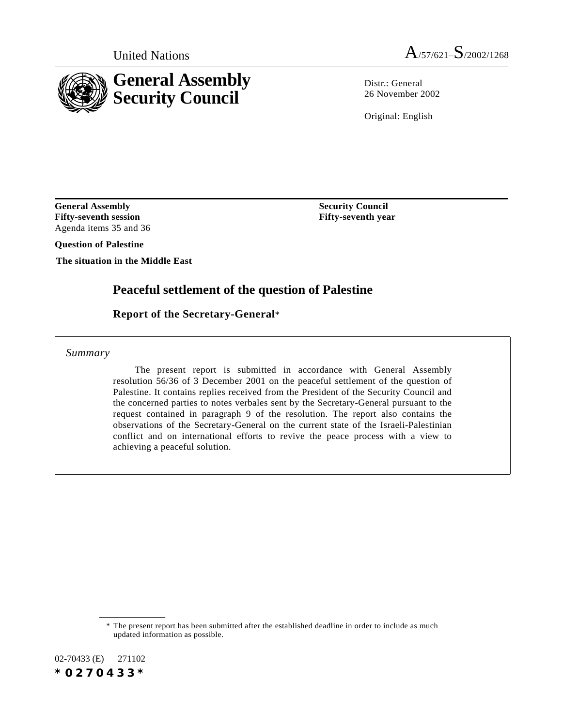

Distr · General 26 November 2002

Original: English

**Security Council Fifty-seventh year**

**General Assembly Fifty-seventh session** Agenda items 35 and 36

**Question of Palestine**

**The situation in the Middle East**

## **Peaceful settlement of the question of Palestine**

### **Report of the Secretary-General**\*

*Summary*

The present report is submitted in accordance with General Assembly resolution 56/36 of 3 December 2001 on the peaceful settlement of the question of Palestine. It contains replies received from the President of the Security Council and the concerned parties to notes verbales sent by the Secretary-General pursuant to the request contained in paragraph 9 of the resolution. The report also contains the observations of the Secretary-General on the current state of the Israeli-Palestinian conflict and on international efforts to revive the peace process with a view to achieving a peaceful solution.

02-70433 (E) 271102 *\*0270433\**

<sup>\*</sup> The present report has been submitted after the established deadline in order to include as much updated information as possible.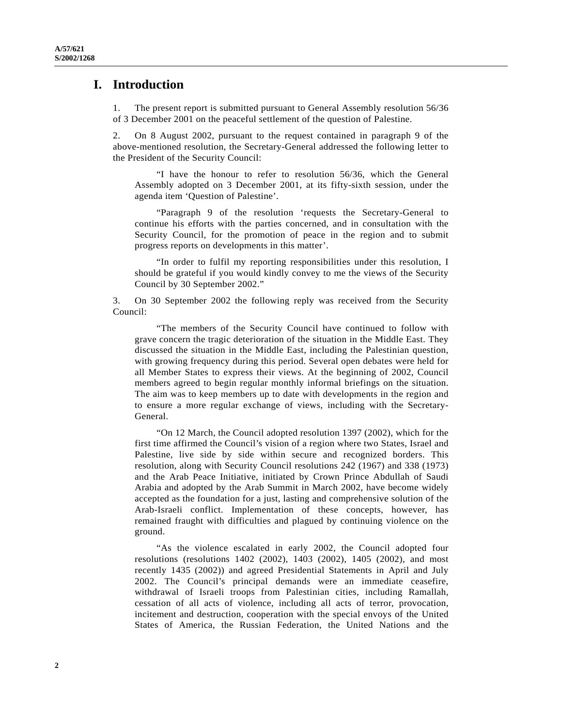#### **I. Introduction**

1. The present report is submitted pursuant to General Assembly resolution 56/36 of 3 December 2001 on the peaceful settlement of the question of Palestine.

2. On 8 August 2002, pursuant to the request contained in paragraph 9 of the above-mentioned resolution, the Secretary-General addressed the following letter to the President of the Security Council:

"I have the honour to refer to resolution 56/36, which the General Assembly adopted on 3 December 2001, at its fifty-sixth session, under the agenda item 'Question of Palestine'.

"Paragraph 9 of the resolution 'requests the Secretary-General to continue his efforts with the parties concerned, and in consultation with the Security Council, for the promotion of peace in the region and to submit progress reports on developments in this matter'.

"In order to fulfil my reporting responsibilities under this resolution, I should be grateful if you would kindly convey to me the views of the Security Council by 30 September 2002."

3. On 30 September 2002 the following reply was received from the Security Council:

"The members of the Security Council have continued to follow with grave concern the tragic deterioration of the situation in the Middle East. They discussed the situation in the Middle East, including the Palestinian question, with growing frequency during this period. Several open debates were held for all Member States to express their views. At the beginning of 2002, Council members agreed to begin regular monthly informal briefings on the situation. The aim was to keep members up to date with developments in the region and to ensure a more regular exchange of views, including with the Secretary-General.

"On 12 March, the Council adopted resolution 1397 (2002), which for the first time affirmed the Council's vision of a region where two States, Israel and Palestine, live side by side within secure and recognized borders. This resolution, along with Security Council resolutions 242 (1967) and 338 (1973) and the Arab Peace Initiative, initiated by Crown Prince Abdullah of Saudi Arabia and adopted by the Arab Summit in March 2002, have become widely accepted as the foundation for a just, lasting and comprehensive solution of the Arab-Israeli conflict. Implementation of these concepts, however, has remained fraught with difficulties and plagued by continuing violence on the ground.

"As the violence escalated in early 2002, the Council adopted four resolutions (resolutions 1402 (2002), 1403 (2002), 1405 (2002), and most recently 1435 (2002)) and agreed Presidential Statements in April and July 2002. The Council's principal demands were an immediate ceasefire, withdrawal of Israeli troops from Palestinian cities, including Ramallah, cessation of all acts of violence, including all acts of terror, provocation, incitement and destruction, cooperation with the special envoys of the United States of America, the Russian Federation, the United Nations and the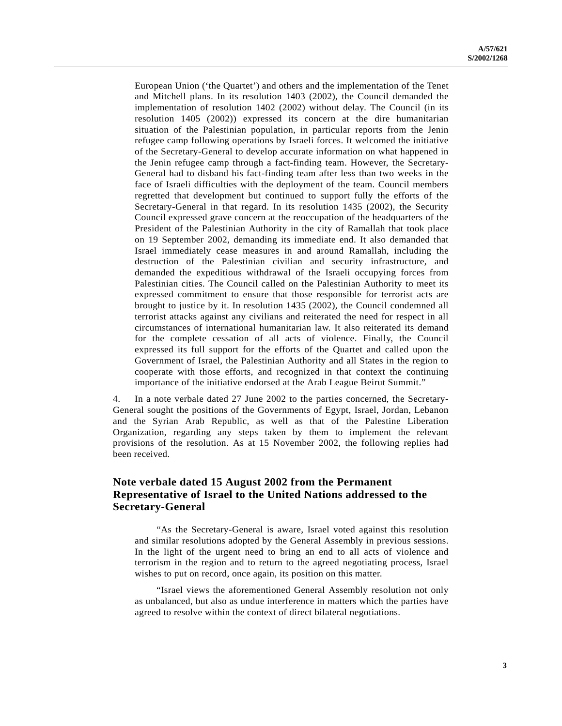European Union ('the Quartet') and others and the implementation of the Tenet and Mitchell plans. In its resolution 1403 (2002), the Council demanded the implementation of resolution 1402 (2002) without delay. The Council (in its resolution 1405 (2002)) expressed its concern at the dire humanitarian situation of the Palestinian population, in particular reports from the Jenin refugee camp following operations by Israeli forces. It welcomed the initiative of the Secretary-General to develop accurate information on what happened in the Jenin refugee camp through a fact-finding team. However, the Secretary-General had to disband his fact-finding team after less than two weeks in the face of Israeli difficulties with the deployment of the team. Council members regretted that development but continued to support fully the efforts of the Secretary-General in that regard. In its resolution 1435 (2002), the Security Council expressed grave concern at the reoccupation of the headquarters of the President of the Palestinian Authority in the city of Ramallah that took place on 19 September 2002, demanding its immediate end. It also demanded that Israel immediately cease measures in and around Ramallah, including the destruction of the Palestinian civilian and security infrastructure, and demanded the expeditious withdrawal of the Israeli occupying forces from Palestinian cities. The Council called on the Palestinian Authority to meet its expressed commitment to ensure that those responsible for terrorist acts are brought to justice by it. In resolution 1435 (2002), the Council condemned all terrorist attacks against any civilians and reiterated the need for respect in all circumstances of international humanitarian law. It also reiterated its demand for the complete cessation of all acts of violence. Finally, the Council expressed its full support for the efforts of the Quartet and called upon the Government of Israel, the Palestinian Authority and all States in the region to cooperate with those efforts, and recognized in that context the continuing importance of the initiative endorsed at the Arab League Beirut Summit."

4. In a note verbale dated 27 June 2002 to the parties concerned, the Secretary-General sought the positions of the Governments of Egypt, Israel, Jordan, Lebanon and the Syrian Arab Republic, as well as that of the Palestine Liberation Organization, regarding any steps taken by them to implement the relevant provisions of the resolution. As at 15 November 2002, the following replies had been received.

#### **Note verbale dated 15 August 2002 from the Permanent Representative of Israel to the United Nations addressed to the Secretary-General**

"As the Secretary-General is aware, Israel voted against this resolution and similar resolutions adopted by the General Assembly in previous sessions. In the light of the urgent need to bring an end to all acts of violence and terrorism in the region and to return to the agreed negotiating process, Israel wishes to put on record, once again, its position on this matter.

"Israel views the aforementioned General Assembly resolution not only as unbalanced, but also as undue interference in matters which the parties have agreed to resolve within the context of direct bilateral negotiations.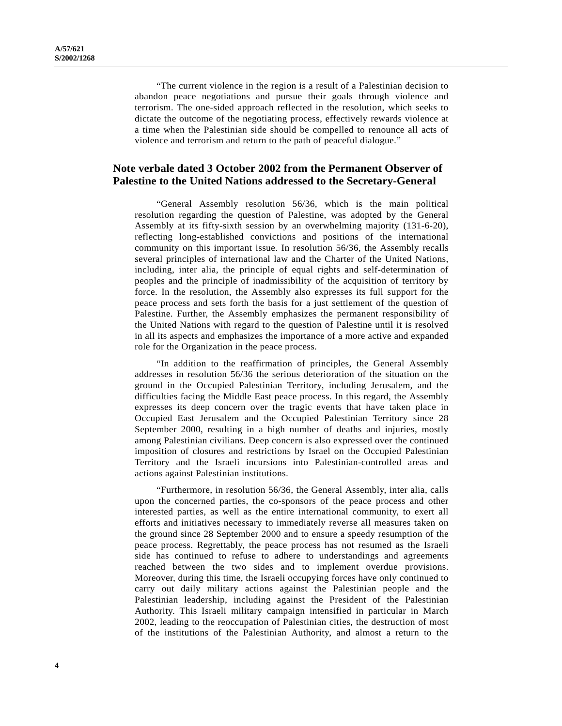"The current violence in the region is a result of a Palestinian decision to abandon peace negotiations and pursue their goals through violence and terrorism. The one-sided approach reflected in the resolution, which seeks to dictate the outcome of the negotiating process, effectively rewards violence at a time when the Palestinian side should be compelled to renounce all acts of violence and terrorism and return to the path of peaceful dialogue."

#### **Note verbale dated 3 October 2002 from the Permanent Observer of Palestine to the United Nations addressed to the Secretary-General**

"General Assembly resolution 56/36, which is the main political resolution regarding the question of Palestine, was adopted by the General Assembly at its fifty-sixth session by an overwhelming majority (131-6-20), reflecting long-established convictions and positions of the international community on this important issue. In resolution 56/36, the Assembly recalls several principles of international law and the Charter of the United Nations, including, inter alia, the principle of equal rights and self-determination of peoples and the principle of inadmissibility of the acquisition of territory by force. In the resolution, the Assembly also expresses its full support for the peace process and sets forth the basis for a just settlement of the question of Palestine. Further, the Assembly emphasizes the permanent responsibility of the United Nations with regard to the question of Palestine until it is resolved in all its aspects and emphasizes the importance of a more active and expanded role for the Organization in the peace process.

"In addition to the reaffirmation of principles, the General Assembly addresses in resolution 56/36 the serious deterioration of the situation on the ground in the Occupied Palestinian Territory, including Jerusalem, and the difficulties facing the Middle East peace process. In this regard, the Assembly expresses its deep concern over the tragic events that have taken place in Occupied East Jerusalem and the Occupied Palestinian Territory since 28 September 2000, resulting in a high number of deaths and injuries, mostly among Palestinian civilians. Deep concern is also expressed over the continued imposition of closures and restrictions by Israel on the Occupied Palestinian Territory and the Israeli incursions into Palestinian-controlled areas and actions against Palestinian institutions.

"Furthermore, in resolution 56/36, the General Assembly, inter alia, calls upon the concerned parties, the co-sponsors of the peace process and other interested parties, as well as the entire international community, to exert all efforts and initiatives necessary to immediately reverse all measures taken on the ground since 28 September 2000 and to ensure a speedy resumption of the peace process. Regrettably, the peace process has not resumed as the Israeli side has continued to refuse to adhere to understandings and agreements reached between the two sides and to implement overdue provisions. Moreover, during this time, the Israeli occupying forces have only continued to carry out daily military actions against the Palestinian people and the Palestinian leadership, including against the President of the Palestinian Authority. This Israeli military campaign intensified in particular in March 2002, leading to the reoccupation of Palestinian cities, the destruction of most of the institutions of the Palestinian Authority, and almost a return to the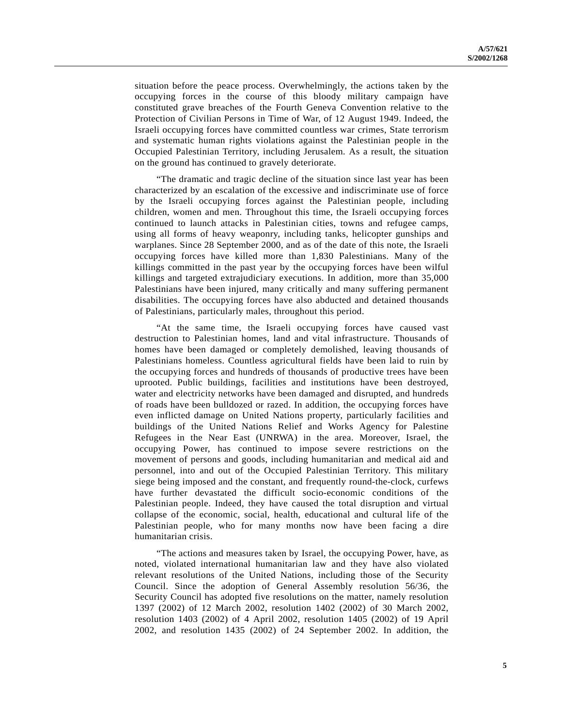situation before the peace process. Overwhelmingly, the actions taken by the occupying forces in the course of this bloody military campaign have constituted grave breaches of the Fourth Geneva Convention relative to the Protection of Civilian Persons in Time of War, of 12 August 1949. Indeed, the Israeli occupying forces have committed countless war crimes, State terrorism and systematic human rights violations against the Palestinian people in the Occupied Palestinian Territory, including Jerusalem. As a result, the situation on the ground has continued to gravely deteriorate.

"The dramatic and tragic decline of the situation since last year has been characterized by an escalation of the excessive and indiscriminate use of force by the Israeli occupying forces against the Palestinian people, including children, women and men. Throughout this time, the Israeli occupying forces continued to launch attacks in Palestinian cities, towns and refugee camps, using all forms of heavy weaponry, including tanks, helicopter gunships and warplanes. Since 28 September 2000, and as of the date of this note, the Israeli occupying forces have killed more than 1,830 Palestinians. Many of the killings committed in the past year by the occupying forces have been wilful killings and targeted extrajudiciary executions. In addition, more than 35,000 Palestinians have been injured, many critically and many suffering permanent disabilities. The occupying forces have also abducted and detained thousands of Palestinians, particularly males, throughout this period.

"At the same time, the Israeli occupying forces have caused vast destruction to Palestinian homes, land and vital infrastructure. Thousands of homes have been damaged or completely demolished, leaving thousands of Palestinians homeless. Countless agricultural fields have been laid to ruin by the occupying forces and hundreds of thousands of productive trees have been uprooted. Public buildings, facilities and institutions have been destroyed, water and electricity networks have been damaged and disrupted, and hundreds of roads have been bulldozed or razed. In addition, the occupying forces have even inflicted damage on United Nations property, particularly facilities and buildings of the United Nations Relief and Works Agency for Palestine Refugees in the Near East (UNRWA) in the area. Moreover, Israel, the occupying Power, has continued to impose severe restrictions on the movement of persons and goods, including humanitarian and medical aid and personnel, into and out of the Occupied Palestinian Territory. This military siege being imposed and the constant, and frequently round-the-clock, curfews have further devastated the difficult socio-economic conditions of the Palestinian people. Indeed, they have caused the total disruption and virtual collapse of the economic, social, health, educational and cultural life of the Palestinian people, who for many months now have been facing a dire humanitarian crisis.

"The actions and measures taken by Israel, the occupying Power, have, as noted, violated international humanitarian law and they have also violated relevant resolutions of the United Nations, including those of the Security Council. Since the adoption of General Assembly resolution 56/36, the Security Council has adopted five resolutions on the matter, namely resolution 1397 (2002) of 12 March 2002, resolution 1402 (2002) of 30 March 2002, resolution 1403 (2002) of 4 April 2002, resolution 1405 (2002) of 19 April 2002, and resolution 1435 (2002) of 24 September 2002. In addition, the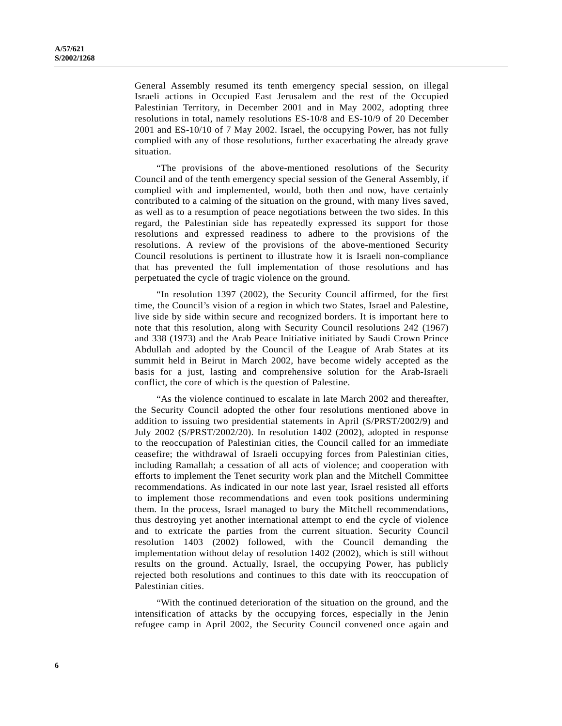General Assembly resumed its tenth emergency special session, on illegal Israeli actions in Occupied East Jerusalem and the rest of the Occupied Palestinian Territory, in December 2001 and in May 2002, adopting three resolutions in total, namely resolutions ES-10/8 and ES-10/9 of 20 December 2001 and ES-10/10 of 7 May 2002. Israel, the occupying Power, has not fully complied with any of those resolutions, further exacerbating the already grave situation.

"The provisions of the above-mentioned resolutions of the Security Council and of the tenth emergency special session of the General Assembly, if complied with and implemented, would, both then and now, have certainly contributed to a calming of the situation on the ground, with many lives saved, as well as to a resumption of peace negotiations between the two sides. In this regard, the Palestinian side has repeatedly expressed its support for those resolutions and expressed readiness to adhere to the provisions of the resolutions. A review of the provisions of the above-mentioned Security Council resolutions is pertinent to illustrate how it is Israeli non-compliance that has prevented the full implementation of those resolutions and has perpetuated the cycle of tragic violence on the ground.

"In resolution 1397 (2002), the Security Council affirmed, for the first time, the Council's vision of a region in which two States, Israel and Palestine, live side by side within secure and recognized borders. It is important here to note that this resolution, along with Security Council resolutions 242 (1967) and 338 (1973) and the Arab Peace Initiative initiated by Saudi Crown Prince Abdullah and adopted by the Council of the League of Arab States at its summit held in Beirut in March 2002, have become widely accepted as the basis for a just, lasting and comprehensive solution for the Arab-Israeli conflict, the core of which is the question of Palestine.

"As the violence continued to escalate in late March 2002 and thereafter, the Security Council adopted the other four resolutions mentioned above in addition to issuing two presidential statements in April (S/PRST/2002/9) and July 2002 (S/PRST/2002/20). In resolution 1402 (2002), adopted in response to the reoccupation of Palestinian cities, the Council called for an immediate ceasefire; the withdrawal of Israeli occupying forces from Palestinian cities, including Ramallah; a cessation of all acts of violence; and cooperation with efforts to implement the Tenet security work plan and the Mitchell Committee recommendations. As indicated in our note last year, Israel resisted all efforts to implement those recommendations and even took positions undermining them. In the process, Israel managed to bury the Mitchell recommendations, thus destroying yet another international attempt to end the cycle of violence and to extricate the parties from the current situation. Security Council resolution 1403 (2002) followed, with the Council demanding the implementation without delay of resolution 1402 (2002), which is still without results on the ground. Actually, Israel, the occupying Power, has publicly rejected both resolutions and continues to this date with its reoccupation of Palestinian cities.

"With the continued deterioration of the situation on the ground, and the intensification of attacks by the occupying forces, especially in the Jenin refugee camp in April 2002, the Security Council convened once again and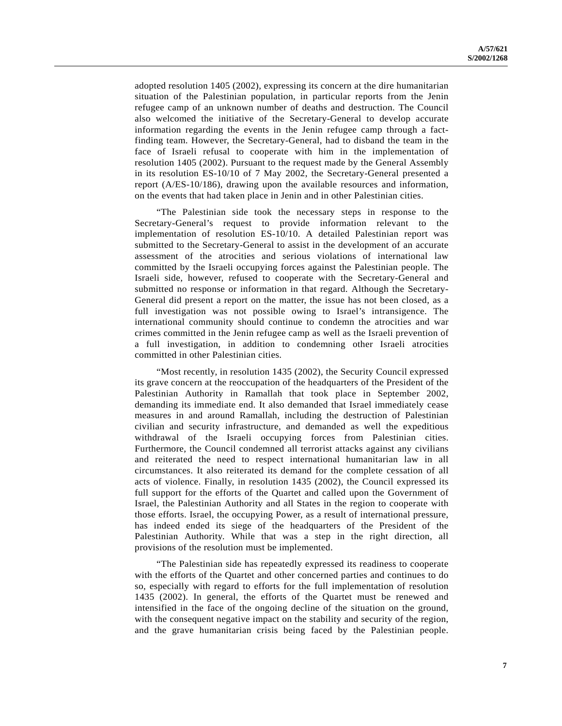adopted resolution 1405 (2002), expressing its concern at the dire humanitarian situation of the Palestinian population, in particular reports from the Jenin refugee camp of an unknown number of deaths and destruction. The Council also welcomed the initiative of the Secretary-General to develop accurate information regarding the events in the Jenin refugee camp through a factfinding team. However, the Secretary-General, had to disband the team in the face of Israeli refusal to cooperate with him in the implementation of resolution 1405 (2002). Pursuant to the request made by the General Assembly in its resolution ES-10/10 of 7 May 2002, the Secretary-General presented a report (A/ES-10/186), drawing upon the available resources and information, on the events that had taken place in Jenin and in other Palestinian cities.

"The Palestinian side took the necessary steps in response to the Secretary-General's request to provide information relevant to the implementation of resolution ES-10/10. A detailed Palestinian report was submitted to the Secretary-General to assist in the development of an accurate assessment of the atrocities and serious violations of international law committed by the Israeli occupying forces against the Palestinian people. The Israeli side, however, refused to cooperate with the Secretary-General and submitted no response or information in that regard. Although the Secretary-General did present a report on the matter, the issue has not been closed, as a full investigation was not possible owing to Israel's intransigence. The international community should continue to condemn the atrocities and war crimes committed in the Jenin refugee camp as well as the Israeli prevention of a full investigation, in addition to condemning other Israeli atrocities committed in other Palestinian cities.

"Most recently, in resolution 1435 (2002), the Security Council expressed its grave concern at the reoccupation of the headquarters of the President of the Palestinian Authority in Ramallah that took place in September 2002, demanding its immediate end. It also demanded that Israel immediately cease measures in and around Ramallah, including the destruction of Palestinian civilian and security infrastructure, and demanded as well the expeditious withdrawal of the Israeli occupying forces from Palestinian cities. Furthermore, the Council condemned all terrorist attacks against any civilians and reiterated the need to respect international humanitarian law in all circumstances. It also reiterated its demand for the complete cessation of all acts of violence. Finally, in resolution 1435 (2002), the Council expressed its full support for the efforts of the Quartet and called upon the Government of Israel, the Palestinian Authority and all States in the region to cooperate with those efforts. Israel, the occupying Power, as a result of international pressure, has indeed ended its siege of the headquarters of the President of the Palestinian Authority. While that was a step in the right direction, all provisions of the resolution must be implemented.

"The Palestinian side has repeatedly expressed its readiness to cooperate with the efforts of the Quartet and other concerned parties and continues to do so, especially with regard to efforts for the full implementation of resolution 1435 (2002). In general, the efforts of the Quartet must be renewed and intensified in the face of the ongoing decline of the situation on the ground, with the consequent negative impact on the stability and security of the region, and the grave humanitarian crisis being faced by the Palestinian people.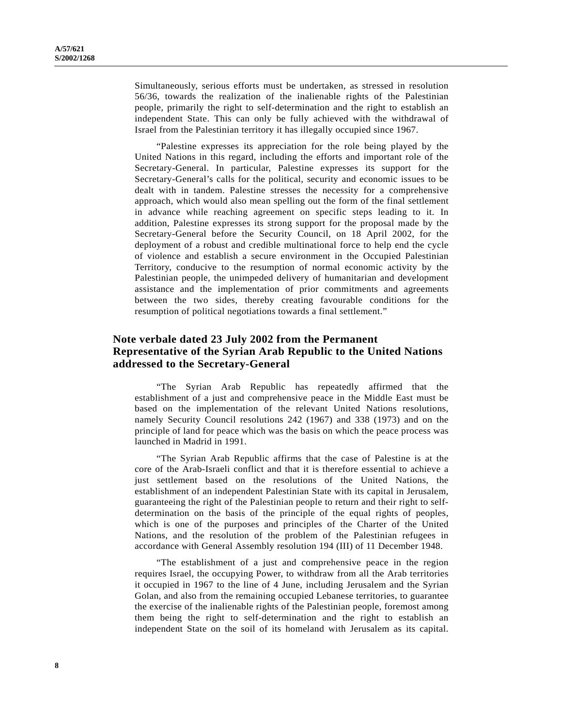Simultaneously, serious efforts must be undertaken, as stressed in resolution 56/36, towards the realization of the inalienable rights of the Palestinian people, primarily the right to self-determination and the right to establish an independent State. This can only be fully achieved with the withdrawal of Israel from the Palestinian territory it has illegally occupied since 1967.

"Palestine expresses its appreciation for the role being played by the United Nations in this regard, including the efforts and important role of the Secretary-General. In particular, Palestine expresses its support for the Secretary-General's calls for the political, security and economic issues to be dealt with in tandem. Palestine stresses the necessity for a comprehensive approach, which would also mean spelling out the form of the final settlement in advance while reaching agreement on specific steps leading to it. In addition, Palestine expresses its strong support for the proposal made by the Secretary-General before the Security Council, on 18 April 2002, for the deployment of a robust and credible multinational force to help end the cycle of violence and establish a secure environment in the Occupied Palestinian Territory, conducive to the resumption of normal economic activity by the Palestinian people, the unimpeded delivery of humanitarian and development assistance and the implementation of prior commitments and agreements between the two sides, thereby creating favourable conditions for the resumption of political negotiations towards a final settlement."

### **Note verbale dated 23 July 2002 from the Permanent Representative of the Syrian Arab Republic to the United Nations addressed to the Secretary-General**

"The Syrian Arab Republic has repeatedly affirmed that the establishment of a just and comprehensive peace in the Middle East must be based on the implementation of the relevant United Nations resolutions, namely Security Council resolutions 242 (1967) and 338 (1973) and on the principle of land for peace which was the basis on which the peace process was launched in Madrid in 1991.

"The Syrian Arab Republic affirms that the case of Palestine is at the core of the Arab-Israeli conflict and that it is therefore essential to achieve a just settlement based on the resolutions of the United Nations, the establishment of an independent Palestinian State with its capital in Jerusalem, guaranteeing the right of the Palestinian people to return and their right to selfdetermination on the basis of the principle of the equal rights of peoples, which is one of the purposes and principles of the Charter of the United Nations, and the resolution of the problem of the Palestinian refugees in accordance with General Assembly resolution 194 (III) of 11 December 1948.

"The establishment of a just and comprehensive peace in the region requires Israel, the occupying Power, to withdraw from all the Arab territories it occupied in 1967 to the line of 4 June, including Jerusalem and the Syrian Golan, and also from the remaining occupied Lebanese territories, to guarantee the exercise of the inalienable rights of the Palestinian people, foremost among them being the right to self-determination and the right to establish an independent State on the soil of its homeland with Jerusalem as its capital.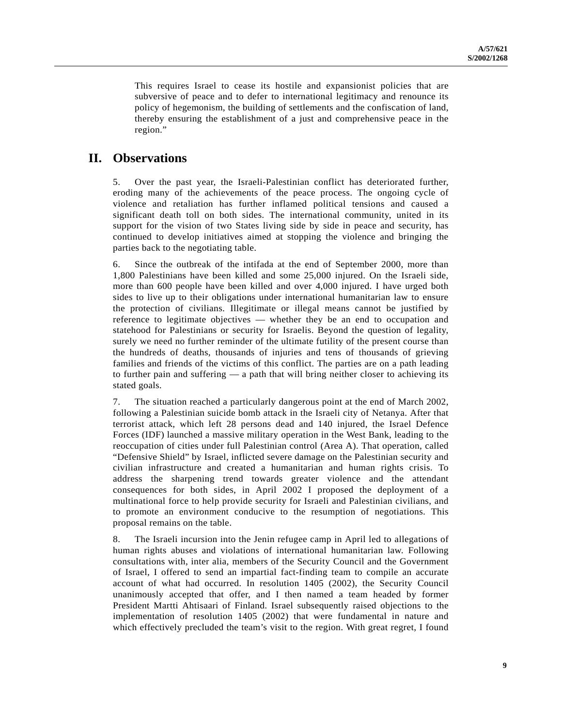This requires Israel to cease its hostile and expansionist policies that are subversive of peace and to defer to international legitimacy and renounce its policy of hegemonism, the building of settlements and the confiscation of land, thereby ensuring the establishment of a just and comprehensive peace in the region."

# **II. Observations**

5. Over the past year, the Israeli-Palestinian conflict has deteriorated further, eroding many of the achievements of the peace process. The ongoing cycle of violence and retaliation has further inflamed political tensions and caused a significant death toll on both sides. The international community, united in its support for the vision of two States living side by side in peace and security, has continued to develop initiatives aimed at stopping the violence and bringing the parties back to the negotiating table.

6. Since the outbreak of the intifada at the end of September 2000, more than 1,800 Palestinians have been killed and some 25,000 injured. On the Israeli side, more than 600 people have been killed and over 4,000 injured. I have urged both sides to live up to their obligations under international humanitarian law to ensure the protection of civilians. Illegitimate or illegal means cannot be justified by reference to legitimate objectives — whether they be an end to occupation and statehood for Palestinians or security for Israelis. Beyond the question of legality, surely we need no further reminder of the ultimate futility of the present course than the hundreds of deaths, thousands of injuries and tens of thousands of grieving families and friends of the victims of this conflict. The parties are on a path leading to further pain and suffering — a path that will bring neither closer to achieving its stated goals.

7. The situation reached a particularly dangerous point at the end of March 2002, following a Palestinian suicide bomb attack in the Israeli city of Netanya. After that terrorist attack, which left 28 persons dead and 140 injured, the Israel Defence Forces (IDF) launched a massive military operation in the West Bank, leading to the reoccupation of cities under full Palestinian control (Area A). That operation, called "Defensive Shield" by Israel, inflicted severe damage on the Palestinian security and civilian infrastructure and created a humanitarian and human rights crisis. To address the sharpening trend towards greater violence and the attendant consequences for both sides, in April 2002 I proposed the deployment of a multinational force to help provide security for Israeli and Palestinian civilians, and to promote an environment conducive to the resumption of negotiations. This proposal remains on the table.

8. The Israeli incursion into the Jenin refugee camp in April led to allegations of human rights abuses and violations of international humanitarian law. Following consultations with, inter alia, members of the Security Council and the Government of Israel, I offered to send an impartial fact-finding team to compile an accurate account of what had occurred. In resolution 1405 (2002), the Security Council unanimously accepted that offer, and I then named a team headed by former President Martti Ahtisaari of Finland. Israel subsequently raised objections to the implementation of resolution 1405 (2002) that were fundamental in nature and which effectively precluded the team's visit to the region. With great regret, I found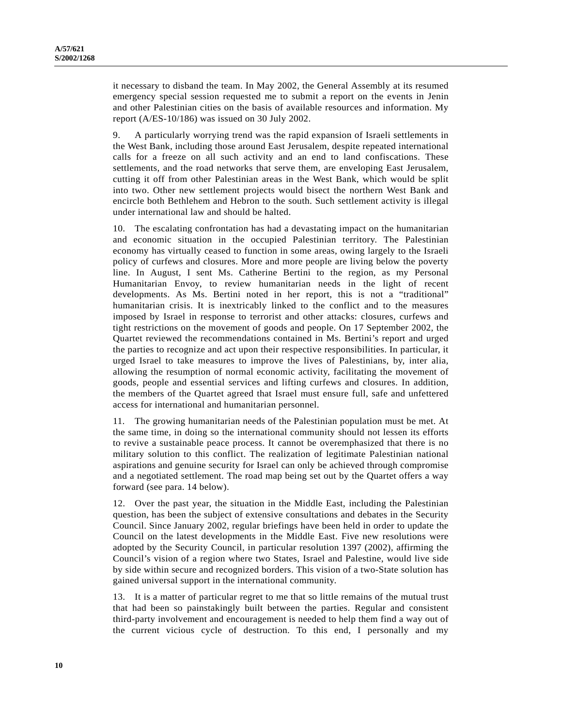it necessary to disband the team. In May 2002, the General Assembly at its resumed emergency special session requested me to submit a report on the events in Jenin and other Palestinian cities on the basis of available resources and information. My report (A/ES-10/186) was issued on 30 July 2002.

9. A particularly worrying trend was the rapid expansion of Israeli settlements in the West Bank, including those around East Jerusalem, despite repeated international calls for a freeze on all such activity and an end to land confiscations. These settlements, and the road networks that serve them, are enveloping East Jerusalem, cutting it off from other Palestinian areas in the West Bank, which would be split into two. Other new settlement projects would bisect the northern West Bank and encircle both Bethlehem and Hebron to the south. Such settlement activity is illegal under international law and should be halted.

10. The escalating confrontation has had a devastating impact on the humanitarian and economic situation in the occupied Palestinian territory. The Palestinian economy has virtually ceased to function in some areas, owing largely to the Israeli policy of curfews and closures. More and more people are living below the poverty line. In August, I sent Ms. Catherine Bertini to the region, as my Personal Humanitarian Envoy, to review humanitarian needs in the light of recent developments. As Ms. Bertini noted in her report, this is not a "traditional" humanitarian crisis. It is inextricably linked to the conflict and to the measures imposed by Israel in response to terrorist and other attacks: closures, curfews and tight restrictions on the movement of goods and people. On 17 September 2002, the Quartet reviewed the recommendations contained in Ms. Bertini's report and urged the parties to recognize and act upon their respective responsibilities. In particular, it urged Israel to take measures to improve the lives of Palestinians, by, inter alia, allowing the resumption of normal economic activity, facilitating the movement of goods, people and essential services and lifting curfews and closures. In addition, the members of the Quartet agreed that Israel must ensure full, safe and unfettered access for international and humanitarian personnel.

11. The growing humanitarian needs of the Palestinian population must be met. At the same time, in doing so the international community should not lessen its efforts to revive a sustainable peace process. It cannot be overemphasized that there is no military solution to this conflict. The realization of legitimate Palestinian national aspirations and genuine security for Israel can only be achieved through compromise and a negotiated settlement. The road map being set out by the Quartet offers a way forward (see para. 14 below).

12. Over the past year, the situation in the Middle East, including the Palestinian question, has been the subject of extensive consultations and debates in the Security Council. Since January 2002, regular briefings have been held in order to update the Council on the latest developments in the Middle East. Five new resolutions were adopted by the Security Council, in particular resolution 1397 (2002), affirming the Council's vision of a region where two States, Israel and Palestine, would live side by side within secure and recognized borders. This vision of a two-State solution has gained universal support in the international community.

13. It is a matter of particular regret to me that so little remains of the mutual trust that had been so painstakingly built between the parties. Regular and consistent third-party involvement and encouragement is needed to help them find a way out of the current vicious cycle of destruction. To this end, I personally and my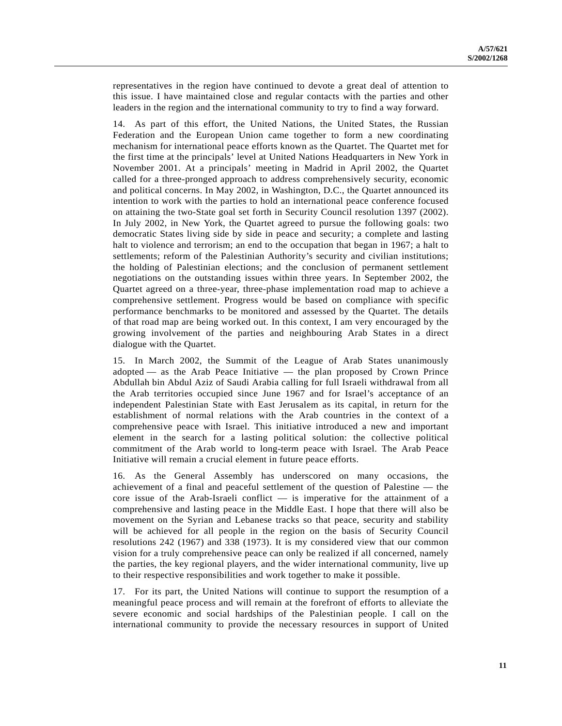representatives in the region have continued to devote a great deal of attention to this issue. I have maintained close and regular contacts with the parties and other leaders in the region and the international community to try to find a way forward.

14. As part of this effort, the United Nations, the United States, the Russian Federation and the European Union came together to form a new coordinating mechanism for international peace efforts known as the Quartet. The Quartet met for the first time at the principals' level at United Nations Headquarters in New York in November 2001. At a principals' meeting in Madrid in April 2002, the Quartet called for a three-pronged approach to address comprehensively security, economic and political concerns. In May 2002, in Washington, D.C., the Quartet announced its intention to work with the parties to hold an international peace conference focused on attaining the two-State goal set forth in Security Council resolution 1397 (2002). In July 2002, in New York, the Quartet agreed to pursue the following goals: two democratic States living side by side in peace and security; a complete and lasting halt to violence and terrorism; an end to the occupation that began in 1967; a halt to settlements; reform of the Palestinian Authority's security and civilian institutions; the holding of Palestinian elections; and the conclusion of permanent settlement negotiations on the outstanding issues within three years. In September 2002, the Quartet agreed on a three-year, three-phase implementation road map to achieve a comprehensive settlement. Progress would be based on compliance with specific performance benchmarks to be monitored and assessed by the Quartet. The details of that road map are being worked out. In this context, I am very encouraged by the growing involvement of the parties and neighbouring Arab States in a direct dialogue with the Quartet.

15. In March 2002, the Summit of the League of Arab States unanimously adopted — as the Arab Peace Initiative — the plan proposed by Crown Prince Abdullah bin Abdul Aziz of Saudi Arabia calling for full Israeli withdrawal from all the Arab territories occupied since June 1967 and for Israel's acceptance of an independent Palestinian State with East Jerusalem as its capital, in return for the establishment of normal relations with the Arab countries in the context of a comprehensive peace with Israel. This initiative introduced a new and important element in the search for a lasting political solution: the collective political commitment of the Arab world to long-term peace with Israel. The Arab Peace Initiative will remain a crucial element in future peace efforts.

16. As the General Assembly has underscored on many occasions, the achievement of a final and peaceful settlement of the question of Palestine — the core issue of the Arab-Israeli conflict — is imperative for the attainment of a comprehensive and lasting peace in the Middle East. I hope that there will also be movement on the Syrian and Lebanese tracks so that peace, security and stability will be achieved for all people in the region on the basis of Security Council resolutions 242 (1967) and 338 (1973). It is my considered view that our common vision for a truly comprehensive peace can only be realized if all concerned, namely the parties, the key regional players, and the wider international community, live up to their respective responsibilities and work together to make it possible.

17. For its part, the United Nations will continue to support the resumption of a meaningful peace process and will remain at the forefront of efforts to alleviate the severe economic and social hardships of the Palestinian people. I call on the international community to provide the necessary resources in support of United